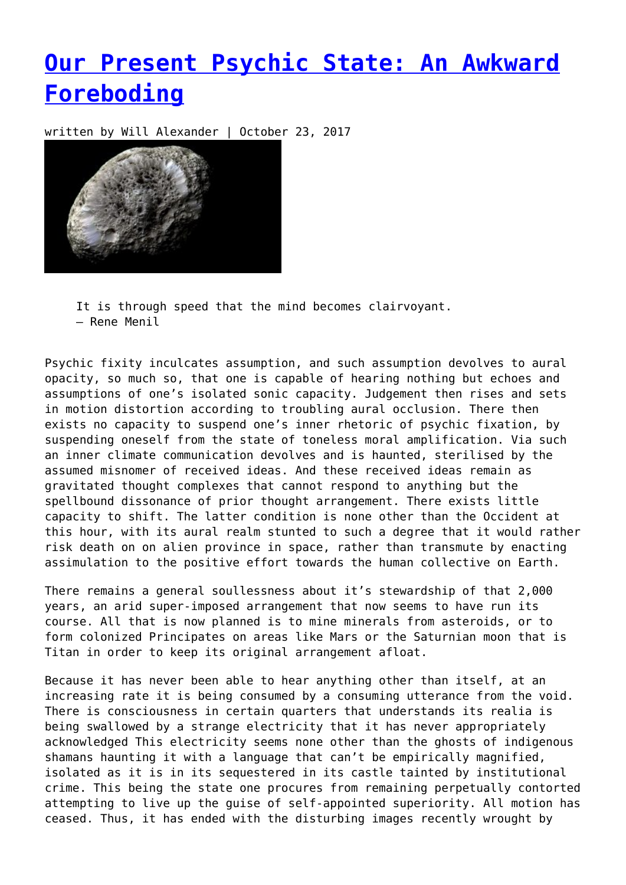## **[Our Present Psychic State: An Awkward](https://entropymag.org/our-present-psychic-state-an-awkward-foreboding/) [Foreboding](https://entropymag.org/our-present-psychic-state-an-awkward-foreboding/)**

written by Will Alexander | October 23, 2017



It is through speed that the mind becomes clairvoyant. – Rene Menil

Psychic fixity inculcates assumption, and such assumption devolves to aural opacity, so much so, that one is capable of hearing nothing but echoes and assumptions of one's isolated sonic capacity. Judgement then rises and sets in motion distortion according to troubling aural occlusion. There then exists no capacity to suspend one's inner rhetoric of psychic fixation, by suspending oneself from the state of toneless moral amplification. Via such an inner climate communication devolves and is haunted, sterilised by the assumed misnomer of received ideas. And these received ideas remain as gravitated thought complexes that cannot respond to anything but the spellbound dissonance of prior thought arrangement. There exists little capacity to shift. The latter condition is none other than the Occident at this hour, with its aural realm stunted to such a degree that it would rather risk death on on alien province in space, rather than transmute by enacting assimulation to the positive effort towards the human collective on Earth.

There remains a general soullessness about it's stewardship of that 2,000 years, an arid super-imposed arrangement that now seems to have run its course. All that is now planned is to mine minerals from asteroids, or to form colonized Principates on areas like Mars or the Saturnian moon that is Titan in order to keep its original arrangement afloat.

Because it has never been able to hear anything other than itself, at an increasing rate it is being consumed by a consuming utterance from the void. There is consciousness in certain quarters that understands its realia is being swallowed by a strange electricity that it has never appropriately acknowledged This electricity seems none other than the ghosts of indigenous shamans haunting it with a language that can't be empirically magnified, isolated as it is in its sequestered in its castle tainted by institutional crime. This being the state one procures from remaining perpetually contorted attempting to live up the guise of self-appointed superiority. All motion has ceased. Thus, it has ended with the disturbing images recently wrought by